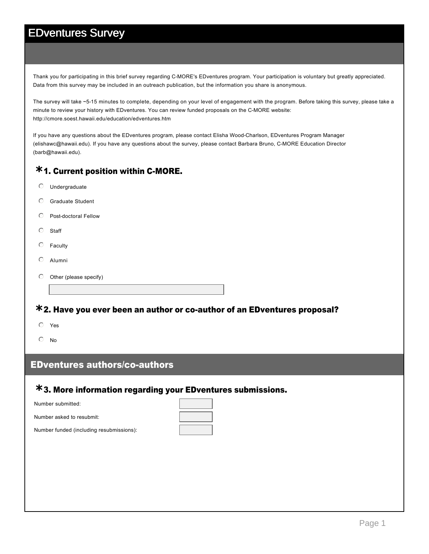Thank you for participating in this brief survey regarding C-MORE's EDventures program. Your participation is voluntary but greatly appreciated. Data from this survey may be included in an outreach publication, but the information you share is anonymous.

The survey will take ~515 minutes to complete, depending on your level of engagement with the program. Before taking this survey, please take a minute to review your history with EDventures. You can review funded proposals on the C-MORE website: http://cmore.soest.hawaii.edu/education/edventures.htm

If you have any questions about the EDventures program, please contact Elisha Wood-Charlson, EDventures Program Manager (elishawc@hawaii.edu). If you have any questions about the survey, please contact Barbara Bruno, C-MORE Education Director (barb@hawaii.edu).

# **\*1. Current position within C-MORE.**

- $O$  Undergraduate
- $O$  Graduate Student
- $\heartsuit$  Post-doctoral Fellow
- $\circ$  Staff
- $O$  Faculty
- $O$  Alumni
- $\odot$  Other (please specify)

# **\*2. Have you ever been an author or co-author of an EDventures proposal?**

- $O$  Yes
- $\odot$  No

#### **EDventures authors/co-authors**

# 3. More information regarding your EDventures submissions. **\***

| Number submitted:        |  |  |
|--------------------------|--|--|
| Number asked to resubmit |  |  |

Number funded (including resubmissions):

 $\Box$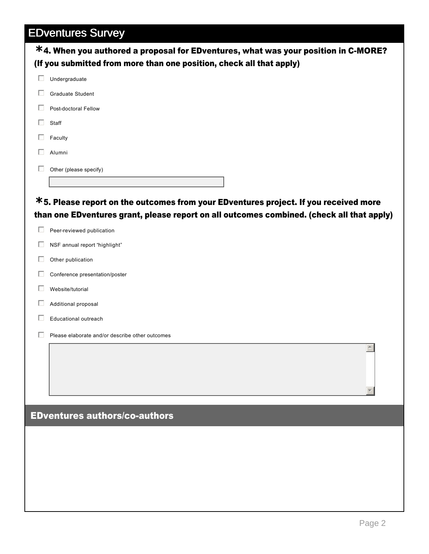|   | <u>LDAAIIMIAS OMIAA</u><br>*4. When you authored a proposal for EDventures, what was your position in C-MORE?                                                                     |
|---|-----------------------------------------------------------------------------------------------------------------------------------------------------------------------------------|
|   | (If you submitted from more than one position, check all that apply)                                                                                                              |
| □ | Undergraduate                                                                                                                                                                     |
| L | <b>Graduate Student</b>                                                                                                                                                           |
|   | Post-doctoral Fellow                                                                                                                                                              |
| Н | Staff                                                                                                                                                                             |
|   | Faculty                                                                                                                                                                           |
|   | Alumni                                                                                                                                                                            |
|   | Other (please specify)                                                                                                                                                            |
|   |                                                                                                                                                                                   |
|   | *5. Please report on the outcomes from your EDventures project. If you received more<br>than one EDventures grant, please report on all outcomes combined. (check all that apply) |
| Ш | Peer-reviewed publication                                                                                                                                                         |
| L | NSF annual report "highlight"                                                                                                                                                     |
|   | Other publication                                                                                                                                                                 |
|   | Conference presentation/poster                                                                                                                                                    |
| L | Website/tutorial                                                                                                                                                                  |
|   | Additional proposal                                                                                                                                                               |
|   | Educational outreach                                                                                                                                                              |
|   | Please elaborate and/or describe other outcomes                                                                                                                                   |
|   | $\blacktriangle$                                                                                                                                                                  |
|   |                                                                                                                                                                                   |
|   |                                                                                                                                                                                   |
|   |                                                                                                                                                                                   |
|   | <b>EDventures authors/co-authors</b>                                                                                                                                              |
|   |                                                                                                                                                                                   |
|   |                                                                                                                                                                                   |
|   |                                                                                                                                                                                   |
|   |                                                                                                                                                                                   |
|   |                                                                                                                                                                                   |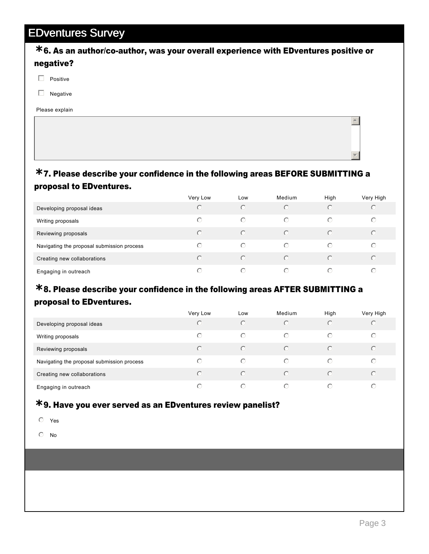#### **\*6. As an author/co-author, was your overall experience with EDventures positive or** negative?

- $\Box$  Positive
- $\Box$  Negative

Please explain

#### 7. Please describe your confidence in the following areas BEFORE SUBMITTING a **\*** proposal to EDventures.

|                                            | Very Low | Low        | Medium     | High       | Very High  |
|--------------------------------------------|----------|------------|------------|------------|------------|
| Developing proposal ideas                  | $\odot$  | $\bigcirc$ | $\odot$    | $\bigcirc$ | $\odot$    |
| Writing proposals                          | $\odot$  | $\bigcirc$ | $\bigcirc$ | $\odot$    | $\circ$    |
| Reviewing proposals                        | $\odot$  | $\odot$    | $\bigcirc$ | $\odot$    | $\odot$    |
| Navigating the proposal submission process | $\odot$  | ⊙          | $\bigcirc$ | ∩          | $\bigcirc$ |
| Creating new collaborations                | $\odot$  | $\odot$    | $\odot$    | $\bigcirc$ | $\odot$    |
| Engaging in outreach                       | ∩        | ∩          | $\bigcap$  | ∩          | ⊙          |

#### 8. Please describe your confidence in the following areas AFTER SUBMITTING a **\*** proposal to EDventures.

|                                            | Very Low | Low        | Medium     | High                   | Very High |
|--------------------------------------------|----------|------------|------------|------------------------|-----------|
| Developing proposal ideas                  | O        | $\bigcirc$ | $\bigcirc$ | ∩                      | $\circ$   |
| Writing proposals                          | ⊙        | $\bigcirc$ | $\bigcirc$ | ∩                      | O         |
| Reviewing proposals                        | ∩        | $\bigcap$  | $\bigcirc$ | $\subset$              | $\odot$   |
| Navigating the proposal submission process | ∩        | ⊙          | $\bigcirc$ | $(\cdot)$              | ⊙         |
| Creating new collaborations                | ∩        | $\bigcap$  | ∩          | $\left( \cdot \right)$ | $\odot$   |
| Engaging in outreach                       | ⊙        | $\bigcirc$ | $\bigcap$  | ∩                      | ⊙         |

# 9. Have you ever served as an EDventures review panelist? **\***

- $O$  Yes
- $\odot$  No

 $\blacktriangle$ 

▼∥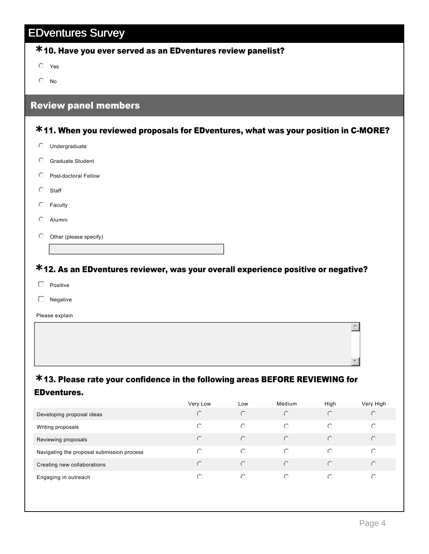# 10. Have you ever served as an EDventures review panelist? **\***

 $O$  Yes

 $\mathbb{O}$  No

#### Review panel members

# **\*11. When you reviewed proposals for EDventures, what was your position in C-MORE?**

- $O$  Undergraduate
- $O$  Graduate Student
- $O$  Post-doctoral Fellow
- $\circ$  Staff
- $C$  Faculty
- $O$  Alumni
- $\odot$  Other (please specify)

# 12. As an EDventures reviewer, was your overall experience positive or negative? **\***

- $\Box$  Positive
- $\Box$  Negative

Please explain

#### 13. Please rate your confidence in the following areas BEFORE REVIEWING for **\*** EDventures.

|                                            | Very Low   | LOW        | Medium     | High                   | Very High |
|--------------------------------------------|------------|------------|------------|------------------------|-----------|
| Developing proposal ideas                  | $\bigcirc$ | $\odot$    | $\bigcirc$ | $\left( \cdot \right)$ | $\circ$   |
| Writing proposals                          | $\odot$    | $\bigcirc$ | $\bigcirc$ | $\bigcirc$             | $\circ$   |
| Reviewing proposals                        | $\bigcirc$ | $\odot$    | $\bigcap$  | ∩                      | $\odot$   |
| Navigating the proposal submission process | $\bigcirc$ | $\bigcirc$ | $\bigcirc$ | $\bigcap$              | $\odot$   |
| Creating new collaborations                | $\bigcap$  | $\odot$    | $\bigcap$  | ∩                      | $\odot$   |
| Engaging in outreach                       | ⊙          | $\bigcirc$ | $\bigcirc$ | ∩                      | $\circ$   |

5

6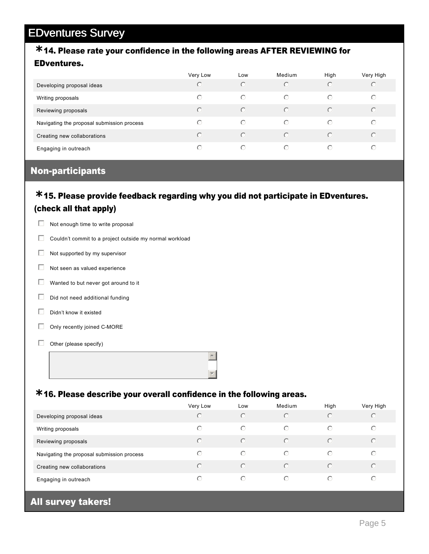# 14. Please rate your confidence in the following areas AFTER REVIEWING for **\***

#### EDventures.

|                                            | Very Low               | LOW        | Medium     | High       | Very High  |
|--------------------------------------------|------------------------|------------|------------|------------|------------|
| Developing proposal ideas                  | $\bigcirc$             | $\odot$    | $\odot$    | $\bigcirc$ | $\bigcirc$ |
| Writing proposals                          | ∩                      | $\bigcirc$ | ∩          | $\bigcap$  | $\odot$    |
| Reviewing proposals                        | $(\cdot)$              | $\odot$    | $\bigcap$  | $\bigcap$  | $\bigcirc$ |
| Navigating the proposal submission process | $\left( \cdot \right)$ | $\bigcirc$ | ∩          | $\bigcap$  | $\odot$    |
| Creating new collaborations                | ∩                      | $\odot$    | $\bigcap$  | $\bigcap$  | $\bigcirc$ |
| Engaging in outreach                       | ⊙                      | $\bigcirc$ | $\bigcirc$ | $\bigcap$  | ∩          |

#### **Non-participants**

#### 15. Please provide feedback regarding why you did not participate in EDventures. **\*** (check all that apply)

|    | Not enough time to write proposal                       |
|----|---------------------------------------------------------|
|    | Couldn't commit to a project outside my normal workload |
|    | Not supported by my supervisor                          |
| U  | Not seen as valued experience                           |
| L. | Wanted to but never got around to it                    |
|    | Did not need additional funding                         |

- 
- $\Box$  Didn't know it existed
- $\Box$  Only recently joined C-MORE
- $\Box$  Other (please specify)

# 16. Please describe your overall confidence in the following areas. **\***

|                                            | Very Low   | Low        | Medium    | High       | Very High |
|--------------------------------------------|------------|------------|-----------|------------|-----------|
| Developing proposal ideas                  | ∩          | $\bigcap$  | $\bigcap$ | $\bigcirc$ | C         |
| Writing proposals                          | $\odot$    | $\bigcirc$ | $\bigcap$ | $\bigcap$  | ⊙         |
| Reviewing proposals                        | $\odot$    | $\odot$    | $\bigcap$ | $\bigcap$  | $\bigcap$ |
| Navigating the proposal submission process | ∩          | $\bigcap$  | ∩         | $\bigcirc$ | ⊙         |
| Creating new collaborations                | $\bigcap$  | $\bigcap$  | $\bigcap$ | ∩          | $\bigcap$ |
| Engaging in outreach                       | $\bigcirc$ | $\bigcirc$ | $\bigcap$ | ∩          | ∩         |

#### All survey takers!